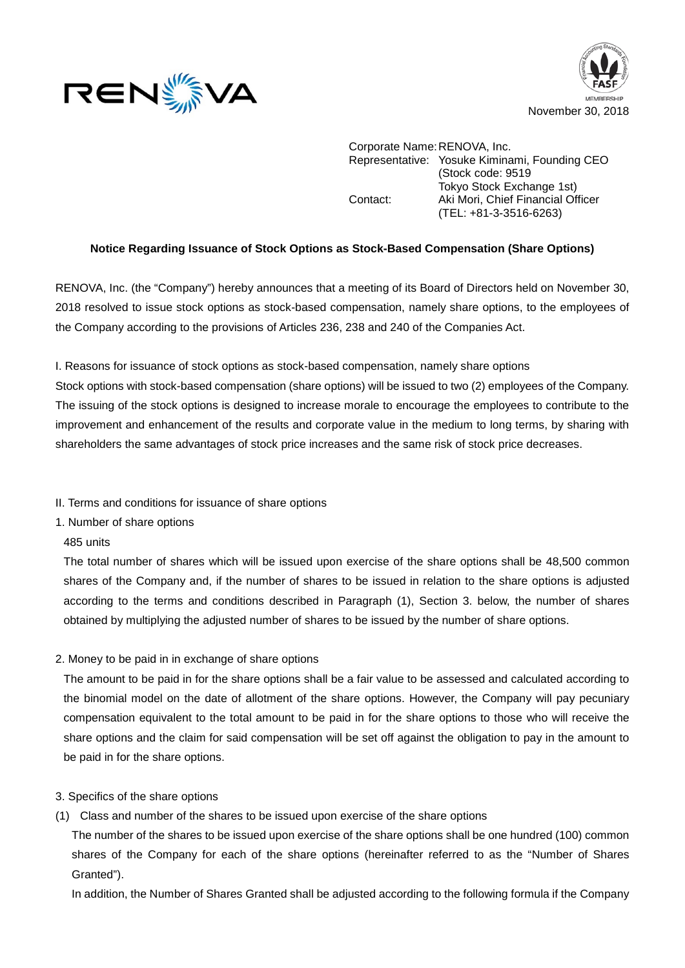



Corporate Name:RENOVA, Inc. Representative: Yosuke Kiminami, Founding CEO (Stock code: 9519 Tokyo Stock Exchange 1st) Contact: Aki Mori, Chief Financial Officer (TEL: +81-3-3516-6263)

## **Notice Regarding Issuance of Stock Options as Stock-Based Compensation (Share Options)**

RENOVA, Inc. (the "Company") hereby announces that a meeting of its Board of Directors held on November 30, 2018 resolved to issue stock options as stock-based compensation, namely share options, to the employees of the Company according to the provisions of Articles 236, 238 and 240 of the Companies Act.

I. Reasons for issuance of stock options as stock-based compensation, namely share options

Stock options with stock-based compensation (share options) will be issued to two (2) employees of the Company. The issuing of the stock options is designed to increase morale to encourage the employees to contribute to the improvement and enhancement of the results and corporate value in the medium to long terms, by sharing with shareholders the same advantages of stock price increases and the same risk of stock price decreases.

- II. Terms and conditions for issuance of share options
- 1. Number of share options
- 485 units

The total number of shares which will be issued upon exercise of the share options shall be 48,500 common shares of the Company and, if the number of shares to be issued in relation to the share options is adjusted according to the terms and conditions described in Paragraph (1), Section 3. below, the number of shares obtained by multiplying the adjusted number of shares to be issued by the number of share options.

2. Money to be paid in in exchange of share options

The amount to be paid in for the share options shall be a fair value to be assessed and calculated according to the binomial model on the date of allotment of the share options. However, the Company will pay pecuniary compensation equivalent to the total amount to be paid in for the share options to those who will receive the share options and the claim for said compensation will be set off against the obligation to pay in the amount to be paid in for the share options.

- 3. Specifics of the share options
- (1) Class and number of the shares to be issued upon exercise of the share options

The number of the shares to be issued upon exercise of the share options shall be one hundred (100) common shares of the Company for each of the share options (hereinafter referred to as the "Number of Shares Granted").

In addition, the Number of Shares Granted shall be adjusted according to the following formula if the Company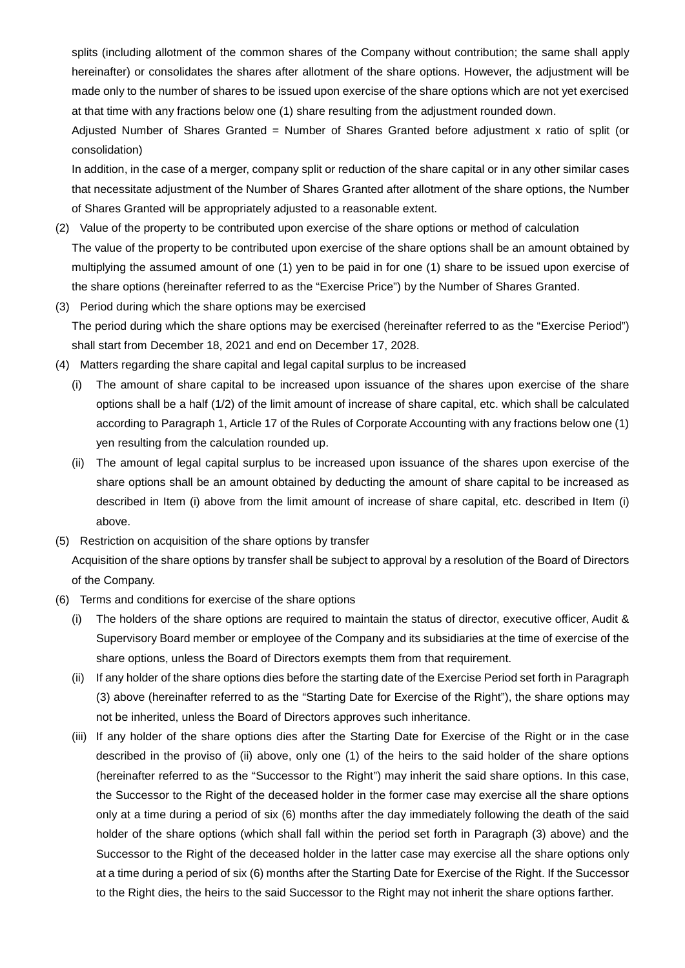splits (including allotment of the common shares of the Company without contribution; the same shall apply hereinafter) or consolidates the shares after allotment of the share options. However, the adjustment will be made only to the number of shares to be issued upon exercise of the share options which are not yet exercised at that time with any fractions below one (1) share resulting from the adjustment rounded down.

Adjusted Number of Shares Granted = Number of Shares Granted before adjustment x ratio of split (or consolidation)

In addition, in the case of a merger, company split or reduction of the share capital or in any other similar cases that necessitate adjustment of the Number of Shares Granted after allotment of the share options, the Number of Shares Granted will be appropriately adjusted to a reasonable extent.

- (2) Value of the property to be contributed upon exercise of the share options or method of calculation The value of the property to be contributed upon exercise of the share options shall be an amount obtained by multiplying the assumed amount of one (1) yen to be paid in for one (1) share to be issued upon exercise of the share options (hereinafter referred to as the "Exercise Price") by the Number of Shares Granted.
- (3) Period during which the share options may be exercised The period during which the share options may be exercised (hereinafter referred to as the "Exercise Period") shall start from December 18, 2021 and end on December 17, 2028.
- (4) Matters regarding the share capital and legal capital surplus to be increased
	- (i) The amount of share capital to be increased upon issuance of the shares upon exercise of the share options shall be a half (1/2) of the limit amount of increase of share capital, etc. which shall be calculated according to Paragraph 1, Article 17 of the Rules of Corporate Accounting with any fractions below one (1) yen resulting from the calculation rounded up.
	- (ii) The amount of legal capital surplus to be increased upon issuance of the shares upon exercise of the share options shall be an amount obtained by deducting the amount of share capital to be increased as described in Item (i) above from the limit amount of increase of share capital, etc. described in Item (i) above.
- (5) Restriction on acquisition of the share options by transfer

Acquisition of the share options by transfer shall be subject to approval by a resolution of the Board of Directors of the Company.

- (6) Terms and conditions for exercise of the share options
	- (i) The holders of the share options are required to maintain the status of director, executive officer, Audit & Supervisory Board member or employee of the Company and its subsidiaries at the time of exercise of the share options, unless the Board of Directors exempts them from that requirement.
	- (ii) If any holder of the share options dies before the starting date of the Exercise Period set forth in Paragraph (3) above (hereinafter referred to as the "Starting Date for Exercise of the Right"), the share options may not be inherited, unless the Board of Directors approves such inheritance.
	- (iii) If any holder of the share options dies after the Starting Date for Exercise of the Right or in the case described in the proviso of (ii) above, only one (1) of the heirs to the said holder of the share options (hereinafter referred to as the "Successor to the Right") may inherit the said share options. In this case, the Successor to the Right of the deceased holder in the former case may exercise all the share options only at a time during a period of six (6) months after the day immediately following the death of the said holder of the share options (which shall fall within the period set forth in Paragraph (3) above) and the Successor to the Right of the deceased holder in the latter case may exercise all the share options only at a time during a period of six (6) months after the Starting Date for Exercise of the Right. If the Successor to the Right dies, the heirs to the said Successor to the Right may not inherit the share options farther.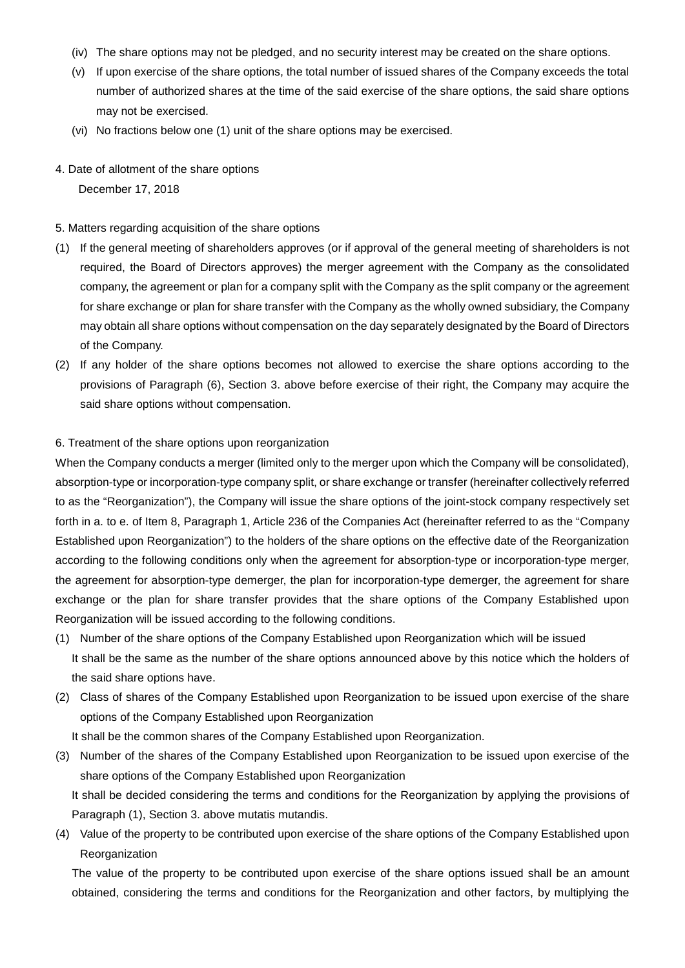- (iv) The share options may not be pledged, and no security interest may be created on the share options.
- (v) If upon exercise of the share options, the total number of issued shares of the Company exceeds the total number of authorized shares at the time of the said exercise of the share options, the said share options may not be exercised.
- (vi) No fractions below one (1) unit of the share options may be exercised.
- 4. Date of allotment of the share options December 17, 2018

## 5. Matters regarding acquisition of the share options

- (1) If the general meeting of shareholders approves (or if approval of the general meeting of shareholders is not required, the Board of Directors approves) the merger agreement with the Company as the consolidated company, the agreement or plan for a company split with the Company as the split company or the agreement for share exchange or plan for share transfer with the Company as the wholly owned subsidiary, the Company may obtain all share options without compensation on the day separately designated by the Board of Directors of the Company.
- (2) If any holder of the share options becomes not allowed to exercise the share options according to the provisions of Paragraph (6), Section 3. above before exercise of their right, the Company may acquire the said share options without compensation.

## 6. Treatment of the share options upon reorganization

When the Company conducts a merger (limited only to the merger upon which the Company will be consolidated), absorption-type or incorporation-type company split, or share exchange or transfer (hereinafter collectively referred to as the "Reorganization"), the Company will issue the share options of the joint-stock company respectively set forth in a. to e. of Item 8, Paragraph 1, Article 236 of the Companies Act (hereinafter referred to as the "Company Established upon Reorganization") to the holders of the share options on the effective date of the Reorganization according to the following conditions only when the agreement for absorption-type or incorporation-type merger, the agreement for absorption-type demerger, the plan for incorporation-type demerger, the agreement for share exchange or the plan for share transfer provides that the share options of the Company Established upon Reorganization will be issued according to the following conditions.

- (1) Number of the share options of the Company Established upon Reorganization which will be issued It shall be the same as the number of the share options announced above by this notice which the holders of the said share options have.
- (2) Class of shares of the Company Established upon Reorganization to be issued upon exercise of the share options of the Company Established upon Reorganization
	- It shall be the common shares of the Company Established upon Reorganization.
- (3) Number of the shares of the Company Established upon Reorganization to be issued upon exercise of the share options of the Company Established upon Reorganization

It shall be decided considering the terms and conditions for the Reorganization by applying the provisions of Paragraph (1), Section 3. above mutatis mutandis.

(4) Value of the property to be contributed upon exercise of the share options of the Company Established upon Reorganization

The value of the property to be contributed upon exercise of the share options issued shall be an amount obtained, considering the terms and conditions for the Reorganization and other factors, by multiplying the